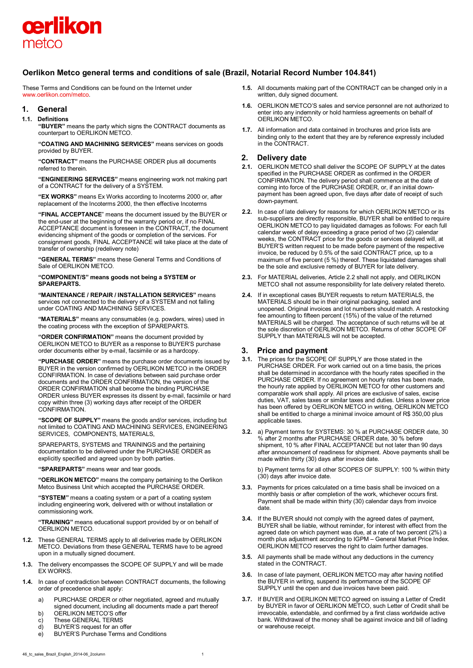

# **Oerlikon Metco general terms and conditions of sale (Brazil, Notarial Record Number 104.841)**

These Terms and Conditions can be found on the Internet under [www.oerlikon.com/metco.](http://www.oerlikon.com/metco)

### **1. General**

#### **1.1. Definitions**

**"BUYER"** means the party which signs the CONTRACT documents as counterpart to OERLIKON METCO.

**"COATING AND MACHINING SERVICES"** means services on goods provided by BUYER.

**"CONTRACT"** means the PURCHASE ORDER plus all documents referred to therein.

**"ENGINEERING SERVICES"** means engineering work not making part of a CONTRACT for the delivery of a SYSTEM.

**"EX WORKS"** means Ex Works according to Incoterms 2000 or, after replacement of the Incoterms 2000, the then effective Incoterms

**"FINAL ACCEPTANCE**" means the document issued by the BUYER or the end-user at the beginning of the warranty period or, if no FINAL ACCEPTANCE document is foreseen in the CONTRACT, the document evidencing shipment of the goods or completion of the services. For consignment goods, FINAL ACCEPTANCE will take place at the date of transfer of ownership (redelivery note)

**"GENERAL TERMS"** means these General Terms and Conditions of Sale of OERLIKON METCO.

#### **"COMPONENT/S" means goods not being a SYSTEM or SPAREPARTS.**

**"MAINTENANCE / REPAIR / INSTALLATION SERVICES"** means services not connected to the delivery of a SYSTEM and not falling under COATING AND MACHINING SERVICES.

**"MATERIALS"** means any consumables (e.g. powders, wires) used in the coating process with the exception of SPAREPARTS.

**"ORDER CONFIRMATION"** means the document provided by OERLIKON METCO to BUYER as a response to BUYER'S purchase order documents either by e-mail, facsimile or as a hardcopy.

**"PURCHASE ORDER"** means the purchase order documents issued by BUYER in the version confirmed by OERLIKON METCO in the ORDER CONFIRMATION. In case of deviations between said purchase order documents and the ORDER CONFIRMATION, the version of the ORDER CONFIRMATION shall become the binding PURCHASE ORDER unless BUYER expresses its dissent by e-mail, facsimile or hard copy within three (3) working days after receipt of the ORDER CONFIRMATION.

**"SCOPE OF SUPPLY"** means the goods and/or services, including but not limited to COATING AND MACHINING SERVICES, ENGINEERING SERVICES, COMPONENTS, MATERIALS,

SPAREPARTS, SYSTEMS and TRAININGS and the pertaining documentation to be delivered under the PURCHASE ORDER as explicitly specified and agreed upon by both parties.

**"SPAREPARTS"** means wear and tear goods.

**"OERLIKON METCO"** means the company pertaining to the Oerlikon Metco Business Unit which accepted the PURCHASE ORDER.

**"SYSTEM"** means a coating system or a part of a coating system including engineering work, delivered with or without installation or commissioning work.

**"TRAINING"** means educational support provided by or on behalf of OERLIKON METCO.

- **1.2.** These GENERAL TERMS apply to all deliveries made by OERLIKON METCO. Deviations from these GENERAL TERMS have to be agreed upon in a mutually signed document.
- **1.3.** The delivery encompasses the SCOPE OF SUPPLY and will be made EX WORKS.
- **1.4.** In case of contradiction between CONTRACT documents, the following order of precedence shall apply:
	- a) PURCHASE ORDER or other negotiated, agreed and mutually signed document, including all documents made a part thereof
	- b) OERLIKON METCO'S offer<br>c) These GENERAL TERMS
	- These GENERAL TERMS
	- d) BUYER'S request for an offer
	- e) BUYER'S Purchase Terms and Conditions
- **1.5.** All documents making part of the CONTRACT can be changed only in a written, duly signed document.
- **1.6.** OERLIKON METCO'S sales and service personnel are not authorized to enter into any indemnity or hold harmless agreements on behalf of OERLIKON METCO.
- **1.7.** All information and data contained in brochures and price lists are binding only to the extent that they are by reference expressly included in the CONTRACT.

## **2. Delivery date**

- **2.1.** OERLIKON METCO shall deliver the SCOPE OF SUPPLY at the dates specified in the PURCHASE ORDER as confirmed in the ORDER CONFIRMATION. The delivery period shall commence at the date of coming into force of the PURCHASE ORDER, or, if an initial downpayment has been agreed upon, five days after date of receipt of such down-payment.
- **2.2.** In case of late delivery for reasons for which OERLIKON METCO or its sub-suppliers are directly responsible. BUYER shall be entitled to require OERLIKON METCO to pay liquidated damages as follows: For each full calendar week of delay exceeding a grace period of two (2) calendar weeks, the CONTRACT price for the goods or services delayed will, at BUYER'S written request to be made before payment of the respective invoice, be reduced by 0.5% of the said CONTRACT price, up to a maximum of five percent (5 %) thereof. These liquidated damages shall be the sole and exclusive remedy of BUYER for late delivery.
- **2.3.** For MATERIAL deliveries, Article 2.2 shall not apply, and OERLIKON METCO shall not assume responsibility for late delivery related thereto.
- **2.4.** If in exceptional cases BUYER requests to return MATERIALS, the MATERIALS should be in their original packaging, sealed and unopened. Original invoices and lot numbers should match. A restocking fee amounting to fifteen percent (15%) of the value of the returned MATERIALS will be charged. The acceptance of such returns will be at the sole discretion of OERLIKON METCO. Returns of other SCOPE OF SUPPLY than MATERIALS will not be accepted.

# **3. Price and payment**

- **3.1.** The prices for the SCOPE OF SUPPLY are those stated in the PURCHASE ORDER. For work carried out on a time basis, the prices shall be determined in accordance with the hourly rates specified in the PURCHASE ORDER. If no agreement on hourly rates has been made, the hourly rate applied by OERLIKON METCO for other customers and comparable work shall apply. All prices are exclusive of sales, excise duties, VAT, sales taxes or similar taxes and duties. Unless a lower price has been offered by OERLIKON METCO in writing, OERLIKON METCO shall be entitled to charge a minimal invoice amount of R\$ 350,00 plus applicable taxes.
- **3.2.** a) Payment terms for SYSTEMS: 30 % at PURCHASE ORDER date, 30 % after 2 months after PURCHASE ORDER date, 30 % before shipment, 10 % after FINAL ACCEPTANCE but not later than 90 days after announcement of readiness for shipment. Above payments shall be made within thirty (30) days after invoice date.

b) Payment terms for all other SCOPES OF SUPPLY: 100 % within thirty (30) days after invoice date.

- **3.3.** Payments for prices calculated on a time basis shall be invoiced on a monthly basis or after completion of the work, whichever occurs first. Payment shall be made within thirty (30) calendar days from invoice date.
- **3.4.** If the BUYER should not comply with the agreed dates of payment, BUYER shall be liable, without reminder, for interest with effect from the agreed date on which payment was due, at a rate of two percent (2%) a month plus adjustment according to IGPM – General Market Price Index. OERLIKON METCO reserves the right to claim further damages.
- **3.5.** All payments shall be made without any deductions in the currency stated in the CONTRACT.
- **3.6.** In case of late payment, OERLIKON METCO may after having notified the BUYER in writing, suspend its performance of the SCOPE OF SUPPLY until the open and due invoices have been paid.
- **3.7.** If BUYER and OERLIKON METCO agreed on issuing a Letter of Credit by BUYER in favor of OERLIKON METCO, such Letter of Credit shall be irrevocable, extendable, and confirmed by a first class worldwide active bank. Withdrawal of the money shall be against invoice and bill of lading or warehouse receipt.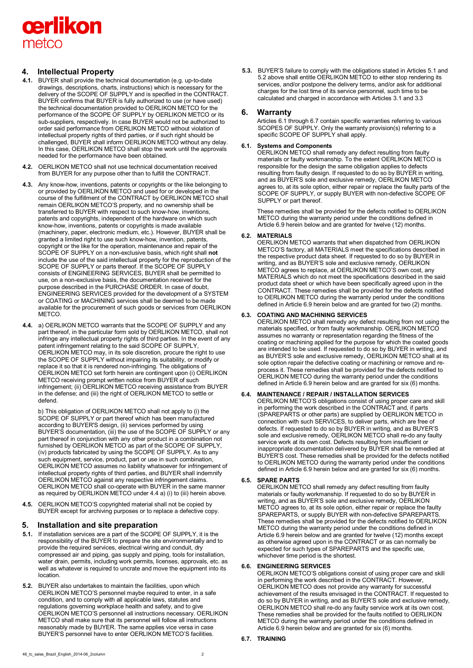

# **4. Intellectual Property**

- **4.1.** BUYER shall provide the technical documentation (e.g. up-to-date drawings, descriptions, charts, instructions) which is necessary for the delivery of the SCOPE OF SUPPLY and is specified in the CONTRACT. BUYER confirms that BUYER is fully authorized to use (or have used) the technical documentation provided to OERLIKON METCO for the performance of the SCOPE OF SUPPLY by OERLIKON METCO or its sub-suppliers, respectively. In case BUYER would not be authorized to order said performance from OERLIKON METCO without violation of intellectual property rights of third parties, or if such right should be challenged, BUYER shall inform OERLIKON METCO without any delay. In this case, OERLIKON METCO shall stop the work until the approvals needed for the performance have been obtained.
- **4.2.** OERLIKON METCO shall not use technical documentation received from BUYER for any purpose other than to fulfill the CONTRACT.
- **4.3.** Any know-how, inventions, patents or copyrights or the like belonging to or provided by OERLIKON METCO and used for or developed in the course of the fulfillment of the CONTRACT by OERLIKON METCO shall remain OERLIKON METCO'S property, and no ownership shall be transferred to BUYER with respect to such know-how, inventions, patents and copyrights, independent of the hardware on which such know-how, inventions, patents or copyrights is made available (machinery, paper, electronic medium, etc.). However, BUYER shall be granted a limited right to use such know-how, invention, patents, copyright or the like for the operation, maintenance and repair of the SCOPE OF SUPPLY on a non-exclusive basis, which right shall **not** include the use of the said intellectual property for the reproduction of the SCOPE OF SUPPLY or parts thereof. If the SCOPE OF SUPPLY consists of ENGINEERING SERVICES, BUYER shall be permitted to use, on a non-exclusive basis, the documentation received for the purpose described in the PURCHASE ORDER. In case of doubt, ENGINEERING SERVICES provided for the development of a SYSTEM or COATING or MACHINING services shall be deemed to be made available for the procurement of such goods or services from OERLIKON METCO.
- **4.4.** a) OERLIKON METCO warrants that the SCOPE OF SUPPLY and any part thereof, in the particular form sold by OERLIKON METCO, shall not infringe any intellectual property rights of third parties. In the event of any patent infringement relating to the said SCOPE OF SUPPLY, OERLIKON METCO may, in its sole discretion, procure the right to use the SCOPE OF SUPPLY without impairing its suitability, or modify or replace it so that it is rendered non-infringing. The obligations of OERLIKON METCO set forth herein are contingent upon (i) OERLIKON METCO receiving prompt written notice from BUYER of such infringement; (ii) OERLIKON METCO receiving assistance from BUYER in the defense; and (iii) the right of OERLIKON METCO to settle or defend.

b) This obligation of OERLIKON METCO shall not apply to (i) the SCOPE OF SUPPLY or part thereof which has been manufactured according to BUYER'S design, (ii) services performed by using BUYER'S documentation, (iii) the use of the SCOPE OF SUPPLY or any part thereof in conjunction with any other product in a combination not furnished by OERLIKON METCO as part of the SCOPE OF SUPPLY, (iv) products fabricated by using the SCOPE OF SUPPLY. As to any such equipment, service, product, part or use in such combination, OERLIKON METCO assumes no liability whatsoever for infringement of intellectual property rights of third parties, and BUYER shall indemnify OERLIKON METCO against any respective infringement claims. OERLIKON METCO shall co-operate with BUYER in the same manner as required by OERLIKON METCO under 4.4 a) (i) to (iii) herein above.

**4.5.** OERLIKON METCO'S copyrighted material shall not be copied by BUYER except for archiving purposes or to replace a defective copy.

# **5. Installation and site preparation**

- **5.1.** If installation services are a part of the SCOPE OF SUPPLY, it is the responsibility of the BUYER to prepare the site environmentally and to provide the required services, electrical wiring and conduit, dry compressed air and piping, gas supply and piping, tools for installation, water drain, permits, including work permits, licenses, approvals, etc. as well as whatever is required to uncrate and move the equipment into its location.
- **5.2.** BUYER also undertakes to maintain the facilities, upon which OERLIKON METCO'S personnel maybe required to enter, in a safe condition, and to comply with all applicable laws, statutes and regulations governing workplace health and safety, and to give OERLIKON METCO'S personnel all instructions necessary. OERLIKON METCO shall make sure that its personnel will follow all instructions reasonably made by BUYER. The same applies vice versa in case BUYER'S personnel have to enter OERLIKON METCO'S facilities.

**5.3.** BUYER'S failure to comply with the obligations stated in Articles 5.1 and 5.2 above shall entitle OERLIKON METCO to either stop rendering its services, and/or postpone the delivery terms, and/or ask for additional charges for the lost time of its service personnel, such time to be calculated and charged in accordance with Articles 3.1 and 3.3

## **6. Warranty**

Articles 6.1 through 6.7 contain specific warranties referring to various SCOPES OF SUPPLY. Only the warranty provision(s) referring to a specific SCOPE OF SUPPLY shall apply.

## **6.1. Systems and Components**

OERLIKON METCO shall remedy any defect resulting from faulty materials or faulty workmanship. To the extent OERLIKON METCO is responsible for the design the same obligation applies to defects resulting from faulty design. If requested to do so by BUYER in writing, and as BUYER'S sole and exclusive remedy, OERLIKON METCO agrees to, at its sole option, either repair or replace the faulty parts of the SCOPE OF SUPPLY, or supply BUYER with non-defective SCOPE OF SUPPLY or part thereof.

These remedies shall be provided for the defects notified to OERLIKON METCO during the warranty period under the conditions defined in Article 6.9 herein below and are granted for twelve (12) months.

## **6.2. MATERIALS**

OERLIKON METCO warrants that when dispatched from OERLIKON METCO'S factory, all MATERIALS meet the specifications described in the respective product data sheet. If requested to do so by BUYER in writing, and as BUYER'S sole and exclusive remedy, OERLIKON METCO agrees to replace, at OERLIKON METCO'S own cost, any MATERIALS which do not meet the specifications described in the said product data sheet or which have been specifically agreed upon in the CONTRACT. These remedies shall be provided for the defects notified to OERLIKON METCO during the warranty period under the conditions defined in Article 6.9 herein below and are granted for two (2) months.

## **6.3. COATING AND MACHINING SERVICES**

OERLIKON METCO shall remedy any defect resulting from not using the materials specified, or from faulty workmanship. OERLIKON METCO assumes no warranty or representation regarding the fitness of the coating or machining applied for the purpose for which the coated goods are intended to be used. If requested to do so by BUYER in writing, and as BUYER'S sole and exclusive remedy, OERLIKON METCO shall at its sole option repair the defective coating or machining or remove and reprocess it. These remedies shall be provided for the defects notified to OERLIKON METCO during the warranty period under the conditions defined in Article 6.9 herein below and are granted for six (6) months.

## **6.4. MAINTENANCE / REPAIR / INSTALLATION SERVICES**

OERLIKON METCO'S obligations consist of using proper care and skill in performing the work described in the CONTRACT and, if parts (SPAREPARTS or other parts) are supplied by OERLIKON METCO in connection with such SERVICES, to deliver parts, which are free of defects. If requested to do so by BUYER in writing, and as BUYER'S sole and exclusive remedy, OERLIKON METCO shall re-do any faulty service work at its own cost. Defects resulting from insufficient or inappropriate documentation delivered by BUYER shall be remedied at BUYER'S cost. These remedies shall be provided for the defects notified to OERLIKON METCO during the warranty period under the conditions defined in Article 6.9 herein below and are granted for six (6) months.

#### **6.5. SPARE PARTS**

OERLIKON METCO shall remedy any defect resulting from faulty materials or faulty workmanship. If requested to do so by BUYER in writing, and as BUYER'S sole and exclusive remedy, OERLIKON METCO agrees to, at its sole option, either repair or replace the faulty SPAREPARTS, or supply BUYER with non-defective SPAREPARTS. These remedies shall be provided for the defects notified to OERLIKON METCO during the warranty period under the conditions defined in Article 6.9 herein below and are granted for twelve (12) months except as otherwise agreed upon in the CONTRACT or as can normally be expected for such types of SPAREPARTS and the specific use, whichever time period is the shortest.

#### **6.6. ENGINEERING SERVICES**

OERLIKON METCO'S obligations consist of using proper care and skill in performing the work described in the CONTRACT. However, OERLIKON METCO does not provide any warranty for successful achievement of the results envisaged in the CONTRACT. If requested to do so by BUYER in writing, and as BUYER'S sole and exclusive remedy, OERLIKON METCO shall re-do any faulty service work at its own cost. These remedies shall be provided for the faults notified to OERLIKON METCO during the warranty period under the conditions defined in Article 6.9 herein below and are granted for six (6) months.

#### **6.7. TRAINING**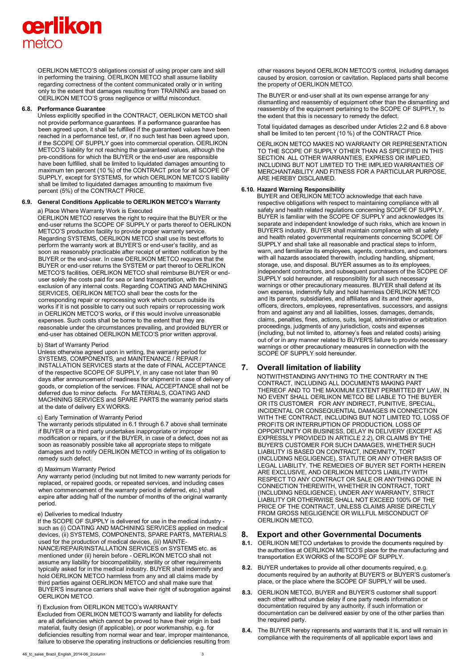# cerlikon metco

OERLIKON METCO'S obligations consist of using proper care and skill in performing the training. OERLIKON METCO shall assume liability regarding correctness of the content communicated orally or in writing only to the extent that damages resulting from TRAINING are based on OERLIKON METCO'S gross negligence or willful misconduct.

#### **6.8. Performance Guarantee**

Unless explicitly specified in the CONTRACT, OERLIKON METCO shall not provide performance guarantees. If a performance guarantee has been agreed upon, it shall be fulfilled if the guaranteed values have been reached in a performance test, or, if no such test has been agreed upon, if the SCOPE OF SUPPLY goes into commercial operation. OERLIKON METCO'S liability for not reaching the guaranteed values, although the pre-conditions for which the BUYER or the end-user are responsible have been fulfilled, shall be limited to liquidated damages amounting to maximum ten percent (10 %) of the CONTRACT price for all SCOPE OF SUPPLY, except for SYSTEMS, for which OERLIKON METCO'S liability shall be limited to liquidated damages amounting to maximum five percent (5%) of the CONTRACT PRICE.

#### **6.9. General Conditions Applicable to OERLIKON METCO's Warranty**

#### a) Place Where Warranty Work is Executed

OERLIKON METCO reserves the right to require that the BUYER or the end-user returns the SCOPE OF SUPPLY or parts thereof to OERLIKON METCO'S production facility to provide proper warranty service. Regarding SYSTEMS, OERLIKON METCO shall use its best efforts to perform the warranty work at BUYER'S or end-user's facility, and as soon as reasonably practicable after receipt of written notification by the BUYER or the end-user. In case OERLIKON METCO requires that the BUYER or end-user returns the SYSTEM or part thereof to OERLIKON METCO'S facilities, OERLIKON METCO shall reimburse BUYER or enduser solely the costs paid for sea or land transportation, with the exclusion of any internal costs. Regarding COATING AND MACHINING SERVICES, OERLIKON METCO shall bear the costs for the corresponding repair or reprocessing work which occurs outside its works if it is not possible to carry out such repairs or reprocessing work in OERLIKON METCO'S works, or if this would involve unreasonable expenses. Such costs shall be borne to the extent that they are reasonable under the circumstances prevailing, and provided BUYER or end-user has obtained OERLIKON METCO'S prior written approval.

#### b) Start of Warranty Period

Unless otherwise agreed upon in writing, the warranty period for SYSTEMS, COMPONENTS, and MAINTENANCE / REPAIR / INSTALLATION SERVICES starts at the date of FINAL ACCEPTANCE of the respective SCOPE OF SUPPLY, in any case not later than 90 days after announcement of readiness for shipment in case of delivery of goods, or completion of the services. FINAL ACCEPTANCE shall not be deferred due to minor defects. For MATERIALS, COATING AND MACHINING SERVICES and SPARE PARTS the warranty period starts at the date of delivery EX WORKS.

## c) Early Termination of Warranty Period

The warranty periods stipulated in 6.1 through 6.7 above shall terminate if BUYER or a third party undertakes inappropriate or improper modification or repairs, or if the BUYER, in case of a defect, does not as soon as reasonably possible take all appropriate steps to mitigate damages and to notify OERLIKON METCO in writing of its obligation to remedy such defect.

#### d) Maximum Warranty Period

Any warranty period (including but not limited to new warranty periods for replaced, or repaired goods, or repeated services, and including cases when commencement of the warranty period is deferred, etc.) shall expire after adding half of the number of months of the original warranty period.

#### e) Deliveries to medical Industry

If the SCOPE OF SUPPLY is delivered for use in the medical industry such as (i) COATING AND MACHINING SERVICES applied on medical devices, (ii) SYSTEMS, COMPONENTS, SPARE PARTS, MATERIALS used for the production of medical devices, (iii) MAINTE-NANCE/REPAIR/INSTALLATION SERVICES on SYSTEMS etc. as mentioned under (ii) herein before - OERLIKON METCO shall not assume any liability for biocompatibility, sterility or other requirements typically asked for in the medical industry. BUYER shall indemnify and hold OERLIKON METCO harmless from any and all claims made by third parties against OERLIKON METCO and shall make sure that BUYER'S insurance carriers shall waive their right of subrogation against OERLIKON METCO.

#### f) Exclusion from OERLIKON METCO's WARRANTY

Excluded from OERLIKON METCO'S warranty and liability for defects are all deficiencies which cannot be proved to have their origin in bad material, faulty design (if applicable), or poor workmanship, e.g. for deficiencies resulting from normal wear and tear, improper maintenance, failure to observe the operating instructions or deficiencies resulting from other reasons beyond OERLIKON METCO'S control, including damages caused by erosion, corrosion or cavitation. Replaced parts shall become the property of OERLIKON METCO.

The BUYER or end-user shall at its own expense arrange for any dismantling and reassembly of equipment other than the dismantling and reassembly of the equipment pertaining to the SCOPE OF SUPPLY, to the extent that this is necessary to remedy the defect.

Total liquidated damages as described under Articles 2.2 and 6.8 above shall be limited to ten percent (10 %) of the CONTRACT Price.

OERLIKON METCO MAKES NO WARRANTY OR REPRESENTATION TO THE SCOPE OF SUPPLY OTHER THAN AS SPECIFIED IN THIS SECTION. ALL OTHER WARRANTIES, EXPRESS OR IMPLIED, INCLUDING BUT NOT LIMITED TO THE IMPLIED WARRANTIES OF MERCHANTABILITY AND FITNESS FOR A PARTICULAR PURPOSE, ARE HEREBY DISCLAIMED.

#### **6.10. Hazard Warning Responsibility**

BUYER and OERLIKON METCO acknowledge that each have respective obligations with respect to maintaining compliance with all safety and health related regulations concerning SCOPE OF SUPPLY. BUYER is familiar with the SCOPE OF SUPPLY and acknowledges its separate and independent knowledge of such risks, which are known in BUYER'S industry. BUYER shall maintain compliance with all safety and health related governmental requirements concerning SCOPE OF SUPPLY and shall take all reasonable and practical steps to inform, warn, and familiarize its employees, agents, contractors, and customers with all hazards associated therewith, including handling, shipment, storage, use, and disposal. BUYER assumes as to its employees, independent contractors, and subsequent purchasers of the SCOPE OF SUPPLY sold hereunder, all responsibility for all such necessary warnings or other precautionary measures. BUYER shall defend at its own expense, indemnify fully and hold harmless OERLIKON METCO and its parents, subsidiaries, and affiliates and its and their agents, officers, directors, employees, representatives, successors, and assigns from and against any and all liabilities, losses, damages, demands, claims, penalties, fines, actions, suits, legal, administrative or arbitration proceedings, judgments of any jurisdiction, costs and expenses (including, but not limited to, attorney's fees and related costs) arising out of or in any manner related to BUYER'S failure to provide necessary warnings or other precautionary measures in connection with the SCOPE OF SUPPLY sold hereunder.

# **7. Overall limitation of liability**

NOTWITHSTANDING ANYTHING TO THE CONTRARY IN THE CONTRACT, INCLUDING ALL DOCUMENTS MAKING PART THEREOF AND TO THE MAXIMUM EXTENT PERMITTED BY LAW, IN NO EVENT SHALL OERLIKON METCO BE LIABLE TO THE BUYER OR ITS CUSTOMER FOR ANY INDIRECT, PUNITIVE, SPECIAL, INCIDENTAL OR CONSEQUENTIAL DAMAGES IN CONNECTION WITH THE CONTRACT, INCLUDING BUT NOT LIMITED TO, LOSS OF PROFITS OR INTERRUPTION OF PRODUCTION, LOSS OF OPPORTUNITY OR BUSINESS, DELAY IN DELIVERY (EXCEPT AS EXPRESSLY PROVIDED IN ARTICLE 2.2), OR CLAIMS BY THE BUYER'S CUSTOMER FOR SUCH DAMAGES, WHETHER SUCH LIABILITY IS BASED ON CONTRACT, INDEMNITY, TORT (INCLUDING NEGLIGENCE), STATUTE OR ANY OTHER BASIS OF LEGAL LIABILITY. THE REMEDIES OF BUYER SET FORTH HEREIN ARE EXCLUSIVE, AND OERLIKON METCO'S LIABILITY WITH RESPECT TO ANY CONTRACT OR SALE OR ANYTHING DONE IN CONNECTION THEREWITH, WHETHER IN CONTRACT, TORT (INCLUDING NEGLIGENCE), UNDER ANY WARRANTY, STRICT LIABILITY OR OTHERWISE SHALL NOT EXCEED 100% OF THE PRICE OF THE CONTRACT, UNLESS CLAIMS ARISE DIRECTLY FROM GROSS NEGLIGENCE OR WILLFUL MISCONDUCT OF OERLIKON METCO.

#### **8. Export and other Governmental Documents**

- **8.1.** OERLIKON METCO undertakes to provide the documents required by the authorities at OERLIKON METCO'S place for the manufacturing and transportation EX WORKS of the SCOPE OF SUPPLY.
- **8.2.** BUYER undertakes to provide all other documents required, e.g. documents required by an authority at BUYER'S or BUYER'S customer's place, or the place where the SCOPE OF SUPPLY will be used.
- **8.3.** OERLIKON METCO, BUYER and BUYER'S customer shall support each other without undue delay if one party needs information or documentation required by any authority, if such information or documentation can be delivered easier by one of the other parties than the required party.
- **8.4.** The BUYER hereby represents and warrants that it is, and will remain in compliance with the requirements of all applicable export laws and